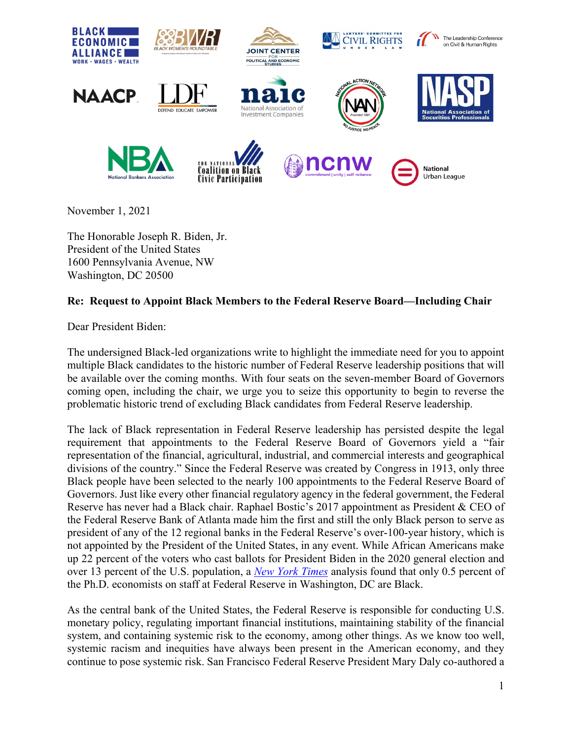

November 1, 2021

The Honorable Joseph R. Biden, Jr. President of the United States 1600 Pennsylvania Avenue, NW Washington, DC 20500

## **Re: Request to Appoint Black Members to the Federal Reserve Board—Including Chair**

Dear President Biden:

The undersigned Black-led organizations write to highlight the immediate need for you to appoint multiple Black candidates to the historic number of Federal Reserve leadership positions that will be available over the coming months. With four seats on the seven-member Board of Governors coming open, including the chair, we urge you to seize this opportunity to begin to reverse the problematic historic trend of excluding Black candidates from Federal Reserve leadership.

The lack of Black representation in Federal Reserve leadership has persisted despite the legal requirement that appointments to the Federal Reserve Board of Governors yield a "fair representation of the financial, agricultural, industrial, and commercial interests and geographical divisions of the country." Since the Federal Reserve was created by Congress in 1913, only three Black people have been selected to the nearly 100 appointments to the Federal Reserve Board of Governors. Just like every other financial regulatory agency in the federal government, the Federal Reserve has never had a Black chair. Raphael Bostic's 2017 appointment as President & CEO of the Federal Reserve Bank of Atlanta made him the first and still the only Black person to serve as president of any of the 12 regional banks in the Federal Reserve's over-100-year history, which is not appointed by the President of the United States, in any event. While African Americans make up 22 percent of the voters who cast ballots for President Biden in the 2020 general election and over 13 percent of the U.S. population, a *[New York Times](https://www.nytimes.com/2021/02/02/business/economy/federal-reserve-diversity.html)* analysis found that only 0.5 percent of the Ph.D. economists on staff at Federal Reserve in Washington, DC are Black.

As the central bank of the United States, the Federal Reserve is responsible for conducting U.S. monetary policy, regulating important financial institutions, maintaining stability of the financial system, and containing systemic risk to the economy, among other things. As we know too well, systemic racism and inequities have always been present in the American economy, and they continue to pose systemic risk. San Francisco Federal Reserve President Mary Daly co-authored a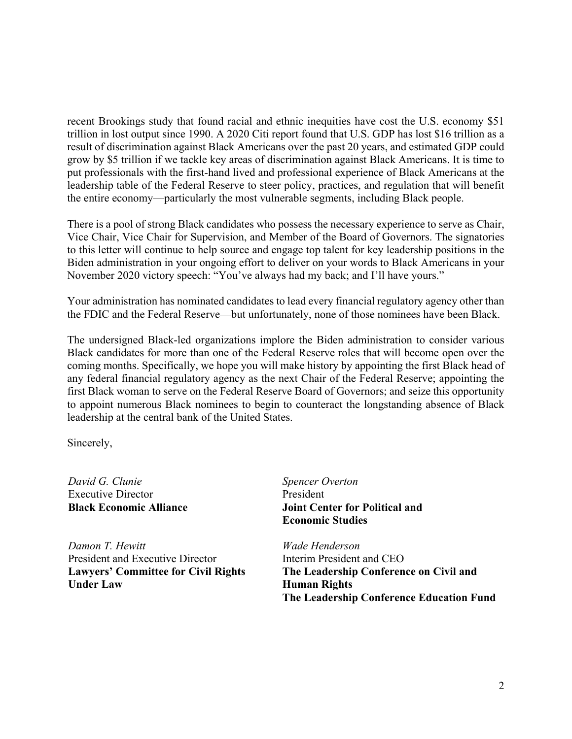recent Brookings study that found racial and ethnic inequities have cost the U.S. economy \$51 trillion in lost output since 1990. A 2020 Citi report found that U.S. GDP has lost \$16 trillion as a result of discrimination against Black Americans over the past 20 years, and estimated GDP could grow by \$5 trillion if we tackle key areas of discrimination against Black Americans. It is time to put professionals with the first-hand lived and professional experience of Black Americans at the leadership table of the Federal Reserve to steer policy, practices, and regulation that will benefit the entire economy—particularly the most vulnerable segments, including Black people.

There is a pool of strong Black candidates who possess the necessary experience to serve as Chair, Vice Chair, Vice Chair for Supervision, and Member of the Board of Governors. The signatories to this letter will continue to help source and engage top talent for key leadership positions in the Biden administration in your ongoing effort to deliver on your words to Black Americans in your November 2020 victory speech: "You've always had my back; and I'll have yours."

Your administration has nominated candidates to lead every financial regulatory agency other than the FDIC and the Federal Reserve—but unfortunately, none of those nominees have been Black.

The undersigned Black-led organizations implore the Biden administration to consider various Black candidates for more than one of the Federal Reserve roles that will become open over the coming months. Specifically, we hope you will make history by appointing the first Black head of any federal financial regulatory agency as the next Chair of the Federal Reserve; appointing the first Black woman to serve on the Federal Reserve Board of Governors; and seize this opportunity to appoint numerous Black nominees to begin to counteract the longstanding absence of Black leadership at the central bank of the United States.

Sincerely,

*David G. Clunie* Executive Director **Black Economic Alliance**

*Damon T. Hewitt*  President and Executive Director **Lawyers' Committee for Civil Rights Under Law**

*Spencer Overton* President **Joint Center for Political and Economic Studies**

*Wade Henderson*  Interim President and CEO **The Leadership Conference on Civil and Human Rights The Leadership Conference Education Fund**